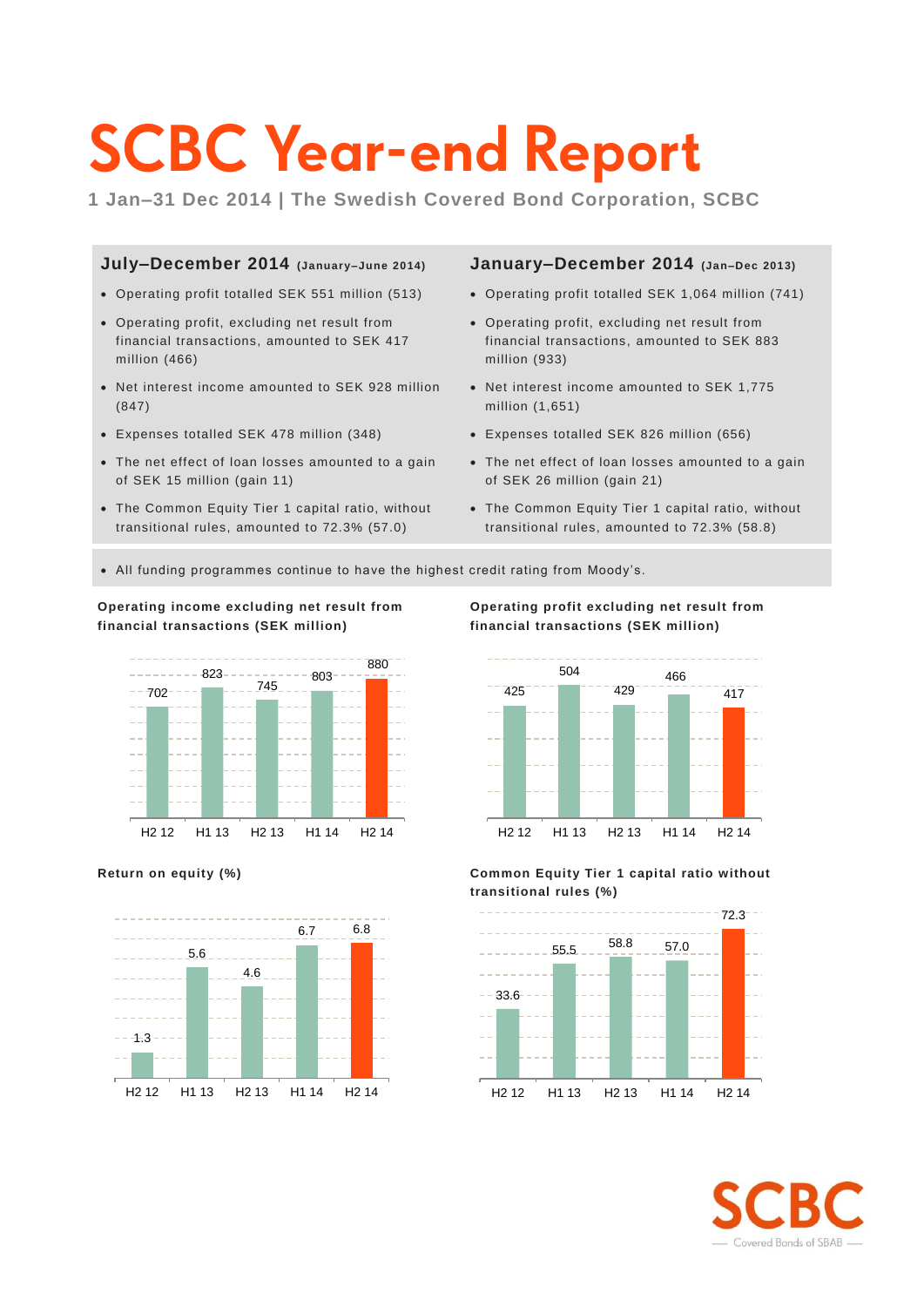# **SCBC Year-end Report**

**1 Jan–31 Dec 2014 | The Swedish Covered Bond Corporation, SCBC**

### **July–December 2014 (January–June 2014)**

- Operating profit totalled SEK 551 million (513)
- Operating profit, excluding net result from financial transactions, amounted to SEK 417 million (466)
- Net interest income amounted to SEK 928 million (847)
- Expenses totalled SEK 478 million (348)
- The net effect of loan losses amounted to a gain of SEK 15 million (gain 11)
- The Common Equity Tier 1 capital ratio, without transitional rules, amounted to 72.3% (57.0)

### **January–December 2014 (Jan–Dec 2013)**

- Operating profit totalled SEK 1,064 million (741)
- Operating profit, excluding net result from financial transactions, amounted to SEK 883 million (933)
- Net interest income amounted to SEK 1,775 million (1,651)
- Expenses totalled SEK 826 million (656)
- The net effect of loan losses amounted to a gain of SEK 26 million (gain 21)
- The Common Equity Tier 1 capital ratio, without transitional rules, amounted to 72.3% (58.8)
- All funding programmes continue to have the highest credit rating from Moody's.

### **Operating income excluding net result from financial transactions (SEK million)**









**Return on equity (%) Common Equity Tier 1 capital ratio without transitional rules (%)**



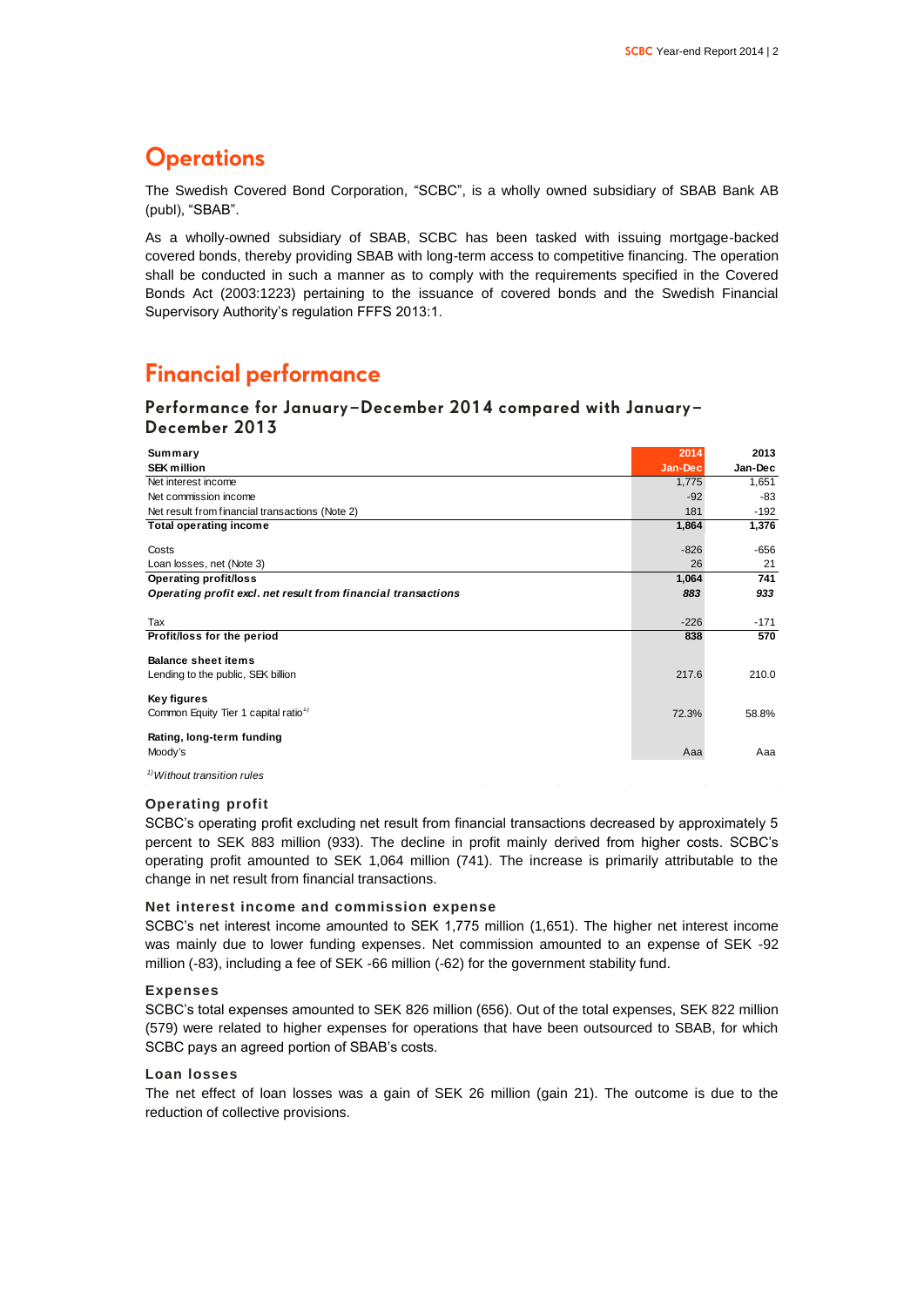### **Operations**

The Swedish Covered Bond Corporation, "SCBC", is a wholly owned subsidiary of SBAB Bank AB (publ), "SBAB".

As a wholly-owned subsidiary of SBAB, SCBC has been tasked with issuing mortgage-backed covered bonds, thereby providing SBAB with long-term access to competitive financing. The operation shall be conducted in such a manner as to comply with the requirements specified in the Covered Bonds Act (2003:1223) pertaining to the issuance of covered bonds and the Swedish Financial Supervisory Authority's regulation FFFS 2013:1.

### **Financial performance**

### **Performance for January–December 2014 compared with January– December 2013**

| Summary                                                       | 2014    | 2013    |
|---------------------------------------------------------------|---------|---------|
| <b>SEK million</b>                                            | Jan-Dec | Jan-Dec |
| Net interest income                                           | 1,775   | 1,651   |
| Net commission income                                         | $-92$   | -83     |
| Net result from financial transactions (Note 2)               | 181     | $-192$  |
| <b>Total operating income</b>                                 | 1,864   | 1,376   |
| Costs                                                         | $-826$  | -656    |
| Loan losses, net (Note 3)                                     | 26      | 21      |
| <b>Operating profit/loss</b>                                  | 1,064   | 741     |
| Operating profit excl. net result from financial transactions | 883     | 933     |
|                                                               |         |         |
| Tax                                                           | $-226$  | $-171$  |
| Profit/loss for the period                                    | 838     | 570     |
| <b>Balance sheet items</b>                                    |         |         |
| Lending to the public, SEK billion                            | 217.6   | 210.0   |
| Key figures                                                   |         |         |
| Common Equity Tier 1 capital ratio <sup>1)</sup>              | 72.3%   | 58.8%   |
|                                                               |         |         |
| Rating, long-term funding                                     |         |         |
| Moody's                                                       | Aaa     | Aaa     |
| <sup>1)</sup> Without transition rules                        |         |         |

### **Operating profit**

SCBC's operating profit excluding net result from financial transactions decreased by approximately 5 percent to SEK 883 million (933). The decline in profit mainly derived from higher costs. SCBC's operating profit amounted to SEK 1,064 million (741). The increase is primarily attributable to the change in net result from financial transactions.

### **Net interest income and commission expense**

SCBC's net interest income amounted to SEK 1,775 million (1,651). The higher net interest income was mainly due to lower funding expenses. Net commission amounted to an expense of SEK -92 million (-83), including a fee of SEK -66 million (-62) for the government stability fund.

### **Expenses**

SCBC's total expenses amounted to SEK 826 million (656). Out of the total expenses, SEK 822 million (579) were related to higher expenses for operations that have been outsourced to SBAB, for which SCBC pays an agreed portion of SBAB's costs.

### **Loan losses**

The net effect of loan losses was a gain of SEK 26 million (gain 21). The outcome is due to the reduction of collective provisions.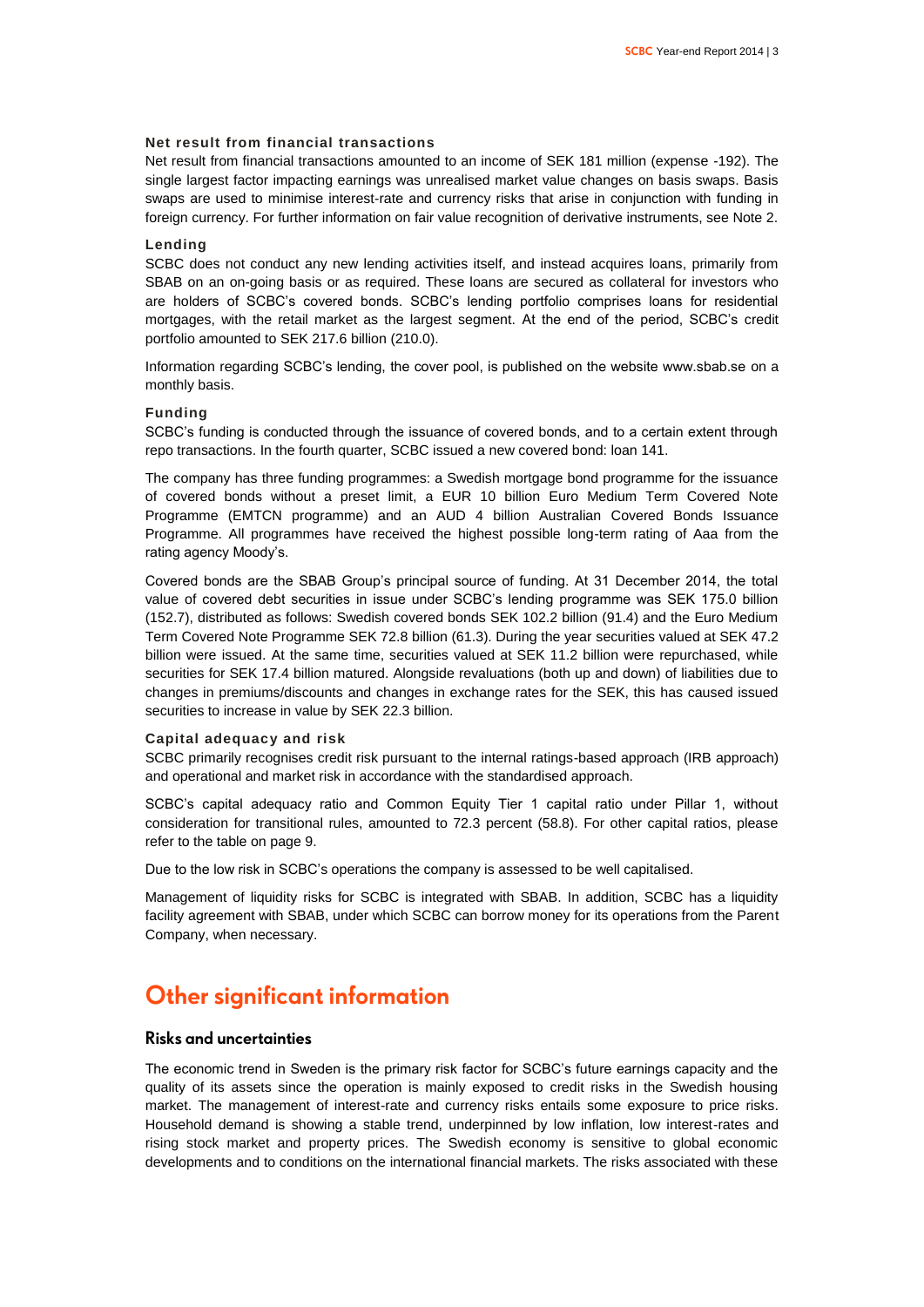### **Net result from financial transactions**

Net result from financial transactions amounted to an income of SEK 181 million (expense -192). The single largest factor impacting earnings was unrealised market value changes on basis swaps. Basis swaps are used to minimise interest-rate and currency risks that arise in conjunction with funding in foreign currency. For further information on fair value recognition of derivative instruments, see Note 2.

### **Lending**

SCBC does not conduct any new lending activities itself, and instead acquires loans, primarily from SBAB on an on-going basis or as required. These loans are secured as collateral for investors who are holders of SCBC's covered bonds. SCBC's lending portfolio comprises loans for residential mortgages, with the retail market as the largest segment. At the end of the period, SCBC's credit portfolio amounted to SEK 217.6 billion (210.0).

Information regarding SCBC's lending, the cover pool, is published on the website www.sbab.se on a monthly basis.

### **Funding**

SCBC's funding is conducted through the issuance of covered bonds, and to a certain extent through repo transactions. In the fourth quarter, SCBC issued a new covered bond: loan 141.

The company has three funding programmes: a Swedish mortgage bond programme for the issuance of covered bonds without a preset limit, a EUR 10 billion Euro Medium Term Covered Note Programme (EMTCN programme) and an AUD 4 billion Australian Covered Bonds Issuance Programme. All programmes have received the highest possible long-term rating of Aaa from the rating agency Moody's.

Covered bonds are the SBAB Group's principal source of funding. At 31 December 2014, the total value of covered debt securities in issue under SCBC's lending programme was SEK 175.0 billion (152.7), distributed as follows: Swedish covered bonds SEK 102.2 billion (91.4) and the Euro Medium Term Covered Note Programme SEK 72.8 billion (61.3). During the year securities valued at SEK 47.2 billion were issued. At the same time, securities valued at SEK 11.2 billion were repurchased, while securities for SEK 17.4 billion matured. Alongside revaluations (both up and down) of liabilities due to changes in premiums/discounts and changes in exchange rates for the SEK, this has caused issued securities to increase in value by SEK 22.3 billion.

### **Capital adequacy and risk**

SCBC primarily recognises credit risk pursuant to the internal ratings-based approach (IRB approach) and operational and market risk in accordance with the standardised approach.

SCBC's capital adequacy ratio and Common Equity Tier 1 capital ratio under Pillar 1, without consideration for transitional rules, amounted to 72.3 percent (58.8). For other capital ratios, please refer to the table on page 9.

Due to the low risk in SCBC's operations the company is assessed to be well capitalised.

Management of liquidity risks for SCBC is integrated with SBAB. In addition, SCBC has a liquidity facility agreement with SBAB, under which SCBC can borrow money for its operations from the Parent Company, when necessary.

### **Other significant information**

### **Risks and uncertainties**

The economic trend in Sweden is the primary risk factor for SCBC's future earnings capacity and the quality of its assets since the operation is mainly exposed to credit risks in the Swedish housing market. The management of interest-rate and currency risks entails some exposure to price risks. Household demand is showing a stable trend, underpinned by low inflation, low interest-rates and rising stock market and property prices. The Swedish economy is sensitive to global economic developments and to conditions on the international financial markets. The risks associated with these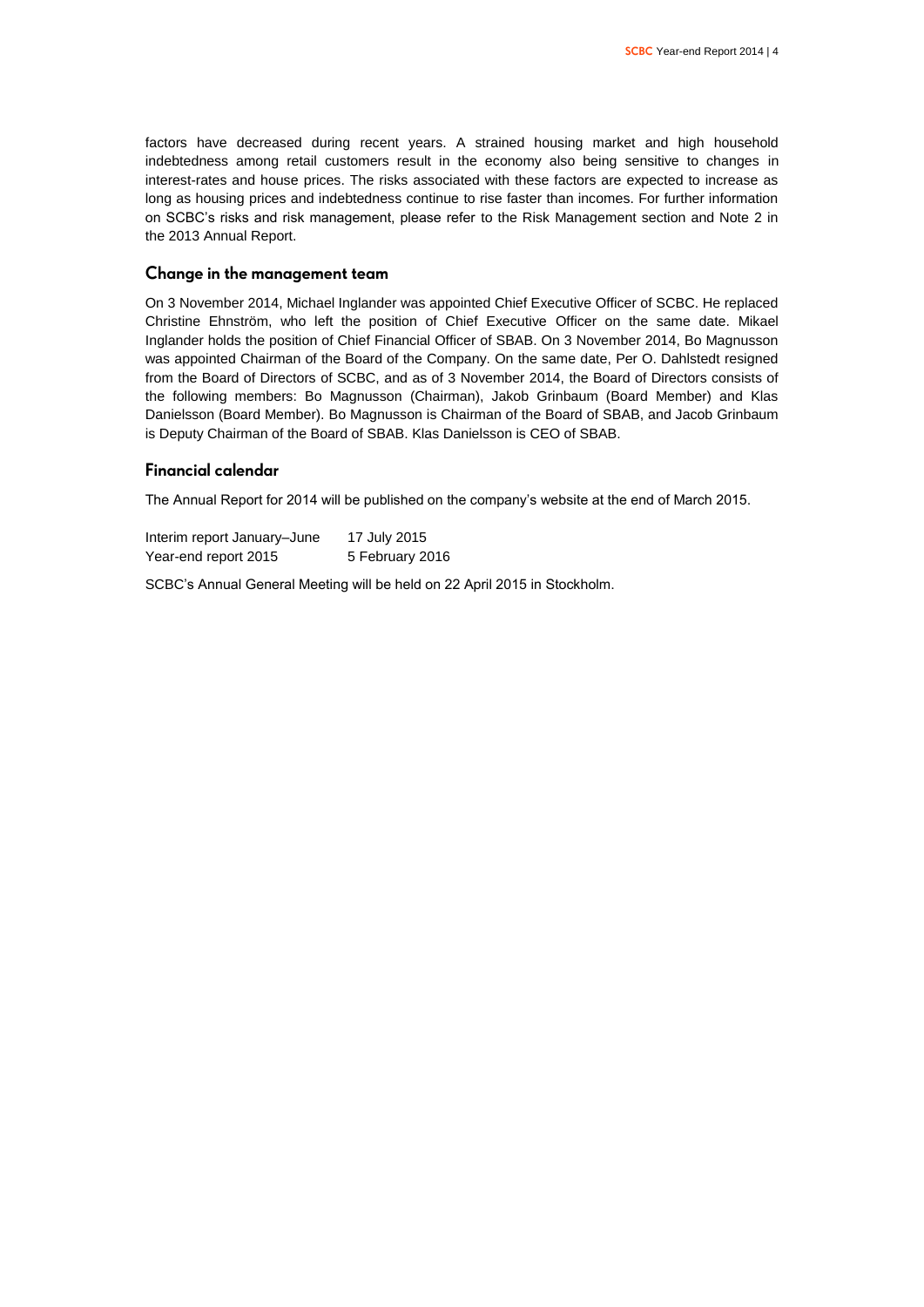factors have decreased during recent years. A strained housing market and high household indebtedness among retail customers result in the economy also being sensitive to changes in interest-rates and house prices. The risks associated with these factors are expected to increase as long as housing prices and indebtedness continue to rise faster than incomes. For further information on SCBC's risks and risk management, please refer to the Risk Management section and Note 2 in the 2013 Annual Report.

### **Change in the management team**

On 3 November 2014, Michael Inglander was appointed Chief Executive Officer of SCBC. He replaced Christine Ehnström, who left the position of Chief Executive Officer on the same date. Mikael Inglander holds the position of Chief Financial Officer of SBAB. On 3 November 2014, Bo Magnusson was appointed Chairman of the Board of the Company. On the same date, Per O. Dahlstedt resigned from the Board of Directors of SCBC, and as of 3 November 2014, the Board of Directors consists of the following members: Bo Magnusson (Chairman), Jakob Grinbaum (Board Member) and Klas Danielsson (Board Member). Bo Magnusson is Chairman of the Board of SBAB, and Jacob Grinbaum is Deputy Chairman of the Board of SBAB. Klas Danielsson is CEO of SBAB.

### **Financial calendar**

The Annual Report for 2014 will be published on the company's website at the end of March 2015.

Interim report January–June 17 July 2015 Year-end report 2015 5 February 2016

SCBC's Annual General Meeting will be held on 22 April 2015 in Stockholm.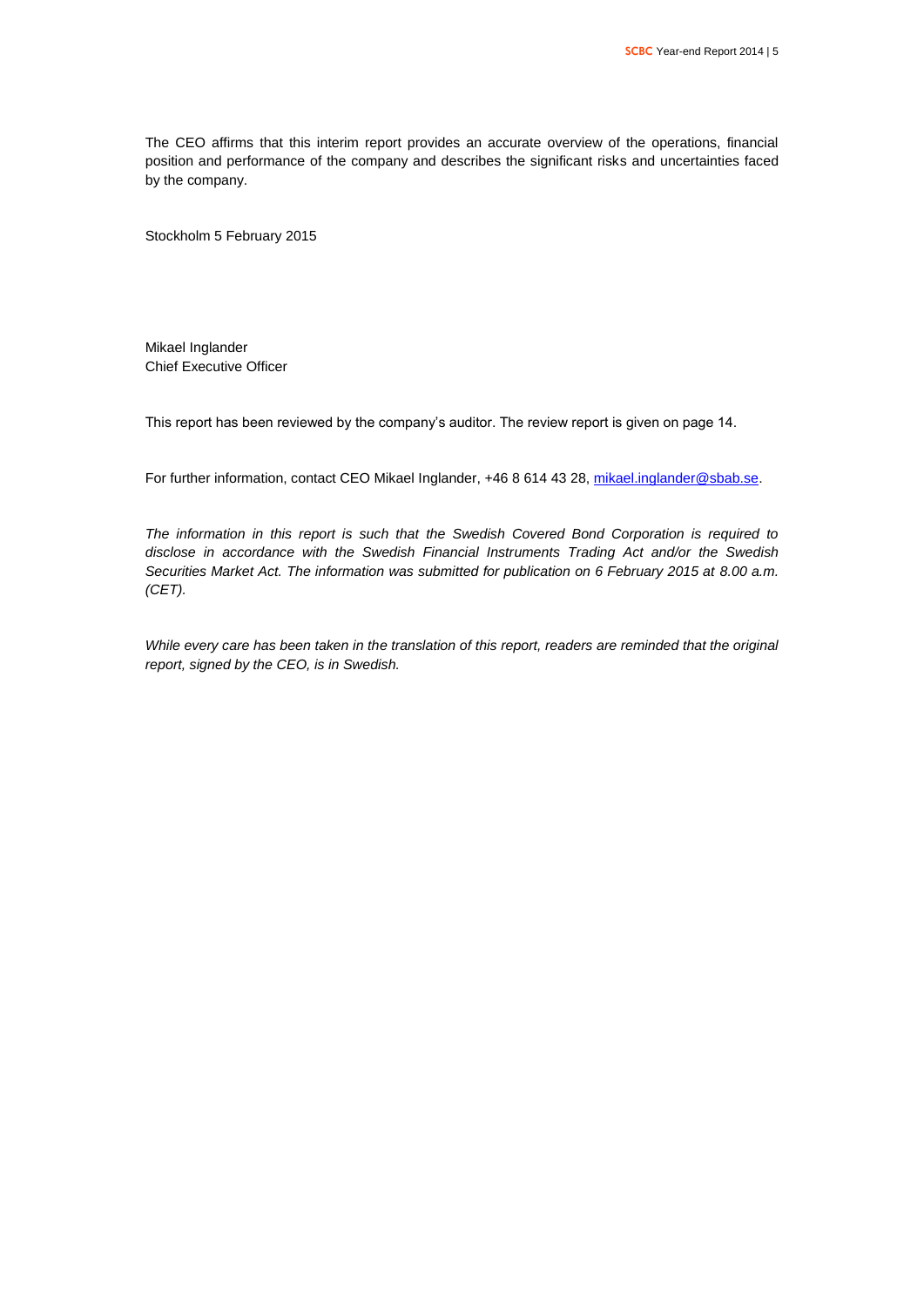The CEO affirms that this interim report provides an accurate overview of the operations, financial position and performance of the company and describes the significant risks and uncertainties faced by the company.

Stockholm 5 February 2015

Mikael Inglander Chief Executive Officer

This report has been reviewed by the company's auditor. The review report is given on page 14.

For further information, contact CEO Mikael Inglander, +46 8 614 43 28[, mikael.inglander@sbab.se.](mailto:mikael.inglander@sbab.se)

*The information in this report is such that the Swedish Covered Bond Corporation is required to disclose in accordance with the Swedish Financial Instruments Trading Act and/or the Swedish Securities Market Act. The information was submitted for publication on 6 February 2015 at 8.00 a.m. (CET).*

*While every care has been taken in the translation of this report, readers are reminded that the original report, signed by the CEO, is in Swedish.*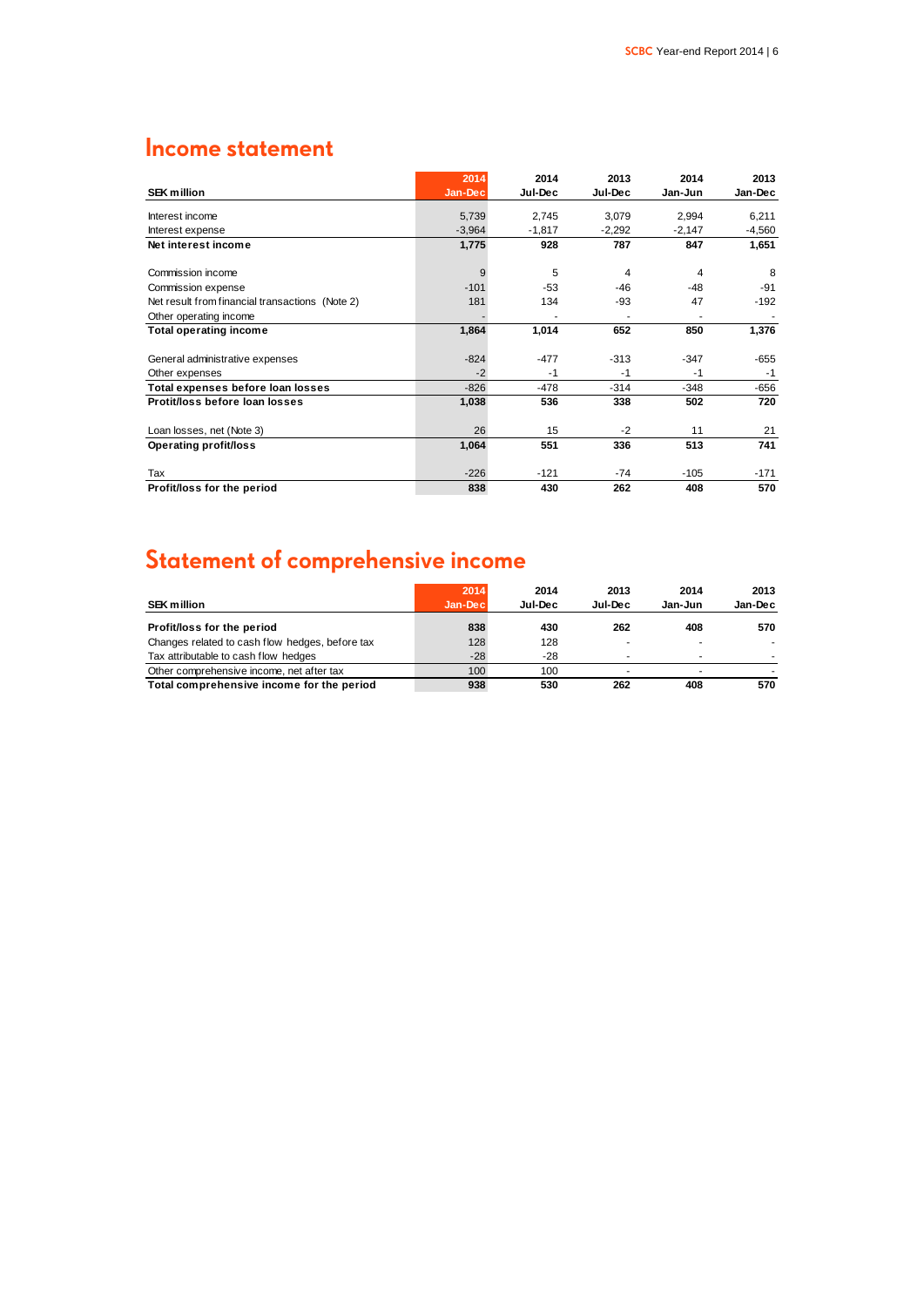### **Income statement**

|                                                 | 2014     | 2014     | 2013     | 2014     | 2013     |
|-------------------------------------------------|----------|----------|----------|----------|----------|
| <b>SEK million</b>                              | Jan-Dec  | Jul-Dec  | Jul-Dec  | Jan-Jun  | Jan-Dec  |
| Interest income                                 | 5,739    | 2,745    | 3,079    | 2.994    | 6,211    |
| Interest expense                                | $-3,964$ | $-1,817$ | $-2,292$ | $-2,147$ | $-4,560$ |
| Net interest income                             | 1,775    | 928      | 787      | 847      | 1,651    |
| Commission income                               | 9        | 5        | 4        | 4        | 8        |
| Commission expense                              | $-101$   | $-53$    | $-46$    | $-48$    | $-91$    |
| Net result from financial transactions (Note 2) | 181      | 134      | -93      | 47       | $-192$   |
| Other operating income                          |          |          |          |          |          |
| <b>Total operating income</b>                   | 1,864    | 1,014    | 652      | 850      | 1,376    |
| General administrative expenses                 | $-824$   | $-477$   | $-313$   | $-347$   | $-655$   |
| Other expenses                                  | $-2$     | $-1$     | $-1$     | $-1$     | $-1$     |
| Total expenses before loan losses               | $-826$   | $-478$   | $-314$   | $-348$   | $-656$   |
| Protit/loss before loan losses                  | 1,038    | 536      | 338      | 502      | 720      |
| Loan losses, net (Note 3)                       | 26       | 15       | $-2$     | 11       | 21       |
| Operating profit/loss                           | 1,064    | 551      | 336      | 513      | 741      |
| Tax                                             | $-226$   | $-121$   | -74      | $-105$   | -171     |
| Profit/loss for the period                      | 838      | 430      | 262      | 408      | 570      |

# **Statement of comprehensive income**

|                                                 | 2014     | 2014    | 2013    | 2014    | 2013    |
|-------------------------------------------------|----------|---------|---------|---------|---------|
| <b>SEK million</b>                              | Jan-Decl | Jul-Dec | Jul-Dec | Jan-Jun | Jan-Dec |
| Profit/loss for the period                      | 838      | 430     | 262     | 408     | 570     |
| Changes related to cash flow hedges, before tax | 128      | 128     |         | ۰       |         |
| Tax attributable to cash flow hedges            | $-28$    | $-28$   |         |         |         |
| Other comprehensive income, net after tax       | 100      | 100     | -       | ۰       |         |
| Total comprehensive income for the period       | 938      | 530     | 262     | 408     | 570     |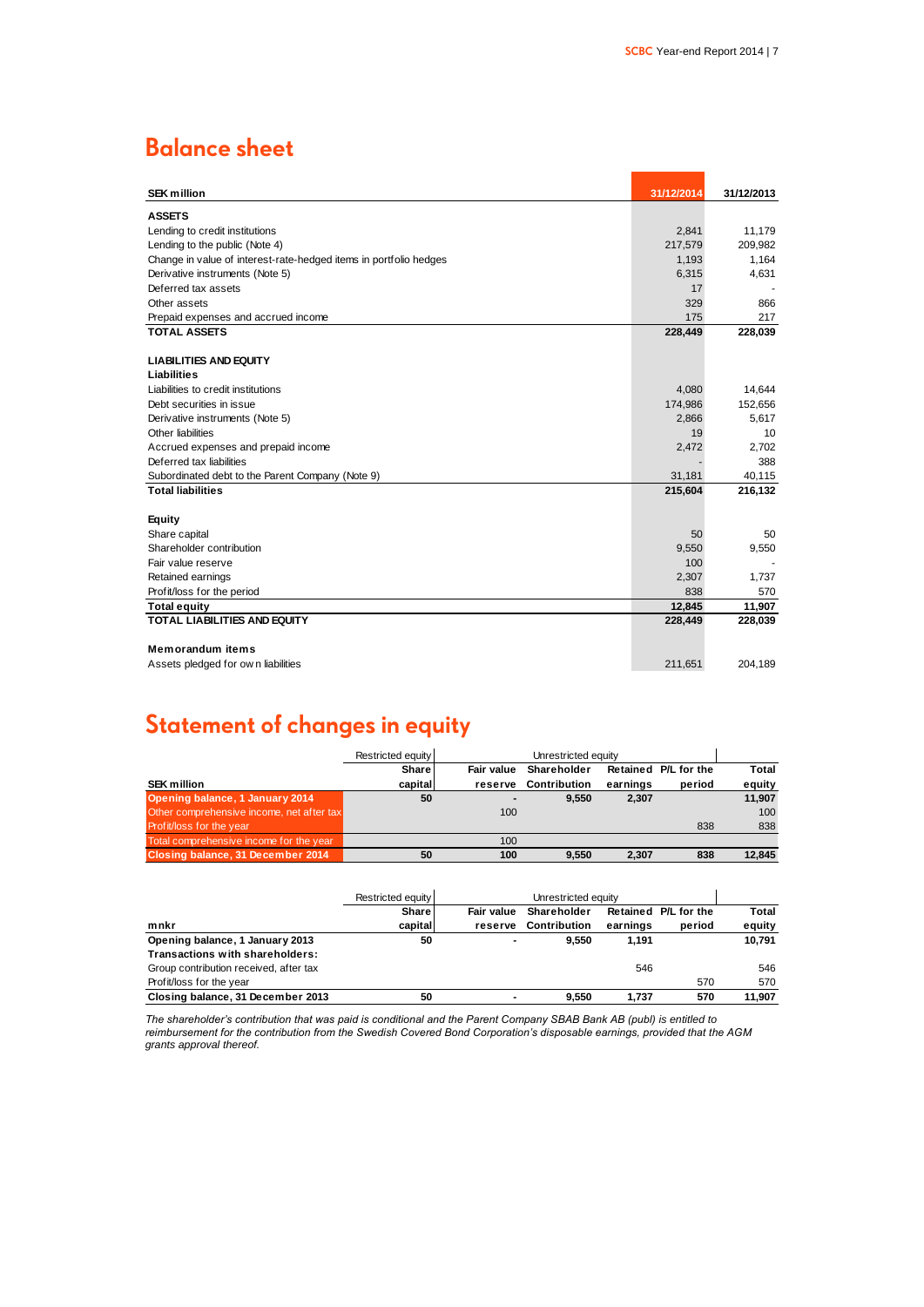# **Balance sheet**

| <b>SEK million</b>                                                | 31/12/2014 | 31/12/2013 |
|-------------------------------------------------------------------|------------|------------|
| <b>ASSETS</b>                                                     |            |            |
| Lending to credit institutions                                    | 2,841      | 11,179     |
| Lending to the public (Note 4)                                    | 217,579    | 209,982    |
| Change in value of interest-rate-hedged items in portfolio hedges | 1,193      | 1,164      |
| Derivative instruments (Note 5)                                   | 6,315      | 4,631      |
| Deferred tax assets                                               | 17         |            |
| Other assets                                                      | 329        | 866        |
| Prepaid expenses and accrued income                               | 175        | 217        |
| <b>TOTAL ASSETS</b>                                               | 228,449    | 228,039    |
|                                                                   |            |            |
| <b>LIABILITIES AND EQUITY</b>                                     |            |            |
| Liabilities                                                       |            |            |
| Liabilities to credit institutions                                | 4,080      | 14.644     |
| Debt securities in issue                                          | 174,986    | 152,656    |
| Derivative instruments (Note 5)                                   | 2,866      | 5,617      |
| Other liabilities                                                 | 19         | 10         |
| Accrued expenses and prepaid income                               | 2,472      | 2,702      |
| Deferred tax liabilities                                          |            | 388        |
| Subordinated debt to the Parent Company (Note 9)                  | 31,181     | 40,115     |
| <b>Total liabilities</b>                                          | 215,604    | 216,132    |
| Equity                                                            |            |            |
| Share capital                                                     | 50         | 50         |
| Shareholder contribution                                          | 9,550      | 9,550      |
| Fair value reserve                                                | 100        |            |
| Retained earnings                                                 | 2,307      | 1,737      |
| Profit/loss for the period                                        | 838        | 570        |
| <b>Total equity</b>                                               | 12,845     | 11,907     |
| TOTAL LIABILITIES AND EQUITY                                      | 228,449    | 228,039    |
|                                                                   |            |            |
| <b>Memorandum items</b>                                           |            |            |
| Assets pledged for own liabilities                                | 211,651    | 204,189    |

# **Statement of changes in equity**

|                                           | Restricted equity | Unrestricted equity |                     |          |                      |        |
|-------------------------------------------|-------------------|---------------------|---------------------|----------|----------------------|--------|
|                                           | Share             | Fair value          | Shareholder         |          | Retained P/L for the | Total  |
| <b>SEK</b> million                        | capital           | reserve             | <b>Contribution</b> | earnings | period               | equity |
| Opening balance, 1 January 2014           | 50                |                     | 9.550               | 2,307    |                      | 11,907 |
| Other comprehensive income, net after tax |                   | 100                 |                     |          |                      | 100    |
| Profit/loss for the year                  |                   |                     |                     |          | 838                  | 838    |
| Total comprehensive income for the year   |                   | 100                 |                     |          |                      |        |
| Closing balance, 31 December 2014         | 50                | 100                 | 9.550               | 2.307    | 838                  | 12.845 |

|                                        | Restricted equity | Unrestricted equity |                     |          |                      |        |
|----------------------------------------|-------------------|---------------------|---------------------|----------|----------------------|--------|
|                                        | Share             | Fair value          | Shareholder         |          | Retained P/L for the | Total  |
| mnkr                                   | capital           | reserve             | <b>Contribution</b> | earnings | period               | equity |
| Opening balance, 1 January 2013        | 50                |                     | 9.550               | 1.191    |                      | 10.791 |
| Transactions with shareholders:        |                   |                     |                     |          |                      |        |
| Group contribution received, after tax |                   |                     |                     | 546      |                      | 546    |
| Profit/loss for the year               |                   |                     |                     |          | 570                  | 570    |
| Closing balance, 31 December 2013      | 50                |                     | 9.550               | 1.737    | 570                  | 11.907 |

*The shareholder's contribution that was paid is conditional and the Parent Company SBAB Bank AB (publ) is entitled to reimbursement for the contribution from the Swedish Covered Bond Corporation's disposable earnings, provided that the AGM grants approval thereof.*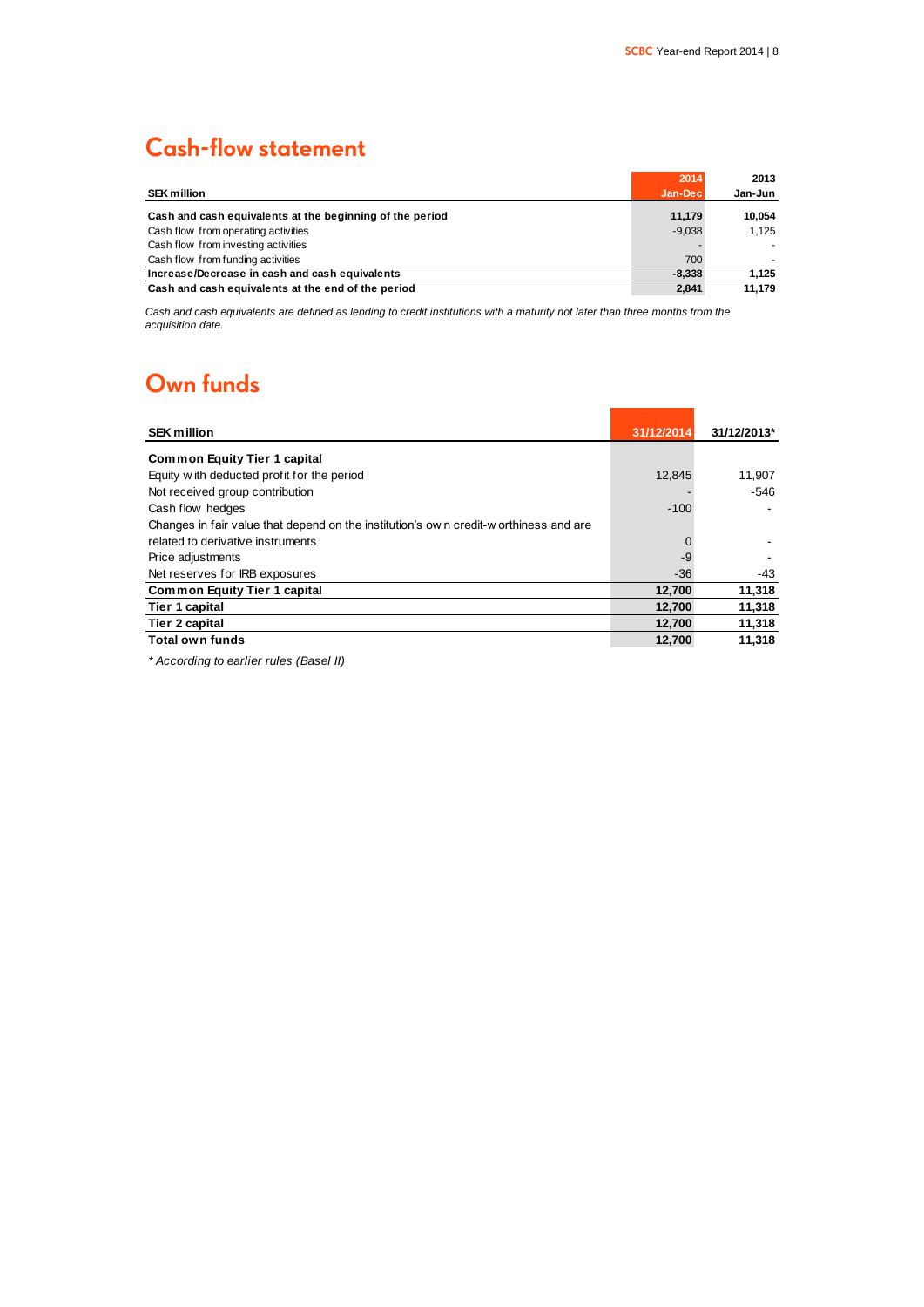# **Cash-flow statement**

|                                                          | 2014     | 2013    |
|----------------------------------------------------------|----------|---------|
| <b>SEK million</b>                                       | Jan-Dec  | Jan-Jun |
| Cash and cash equivalents at the beginning of the period | 11.179   | 10.054  |
| Cash flow from operating activities                      | $-9.038$ | 1.125   |
| Cash flow from investing activities                      |          |         |
| Cash flow from funding activities                        | 700      |         |
| Increase/Decrease in cash and cash equivalents           | $-8.338$ | 1.125   |
| Cash and cash equivalents at the end of the period       | 2.841    | 11.179  |

*Cash and cash equivalents are defined as lending to credit institutions with a maturity not later than three months from the acquisition date.*

### **Own funds**

| <b>SEK million</b>                                                                   | 31/12/2014 | 31/12/2013* |
|--------------------------------------------------------------------------------------|------------|-------------|
| <b>Common Equity Tier 1 capital</b>                                                  |            |             |
| Equity with deducted profit for the period                                           | 12,845     | 11,907      |
| Not received group contribution                                                      |            | -546        |
| Cash flow hedges                                                                     | $-100$     |             |
| Changes in fair value that depend on the institution's own credit-worthiness and are |            |             |
| related to derivative instruments                                                    | 0          |             |
| Price adjustments                                                                    | -9         |             |
| Net reserves for IRB exposures                                                       | $-36$      | -43         |
| <b>Common Equity Tier 1 capital</b>                                                  | 12,700     | 11,318      |
| Tier 1 capital                                                                       | 12,700     | 11,318      |
| Tier 2 capital                                                                       | 12,700     | 11,318      |
| Total own funds                                                                      | 12,700     | 11.318      |

*\* According to earlier rules (Basel II)*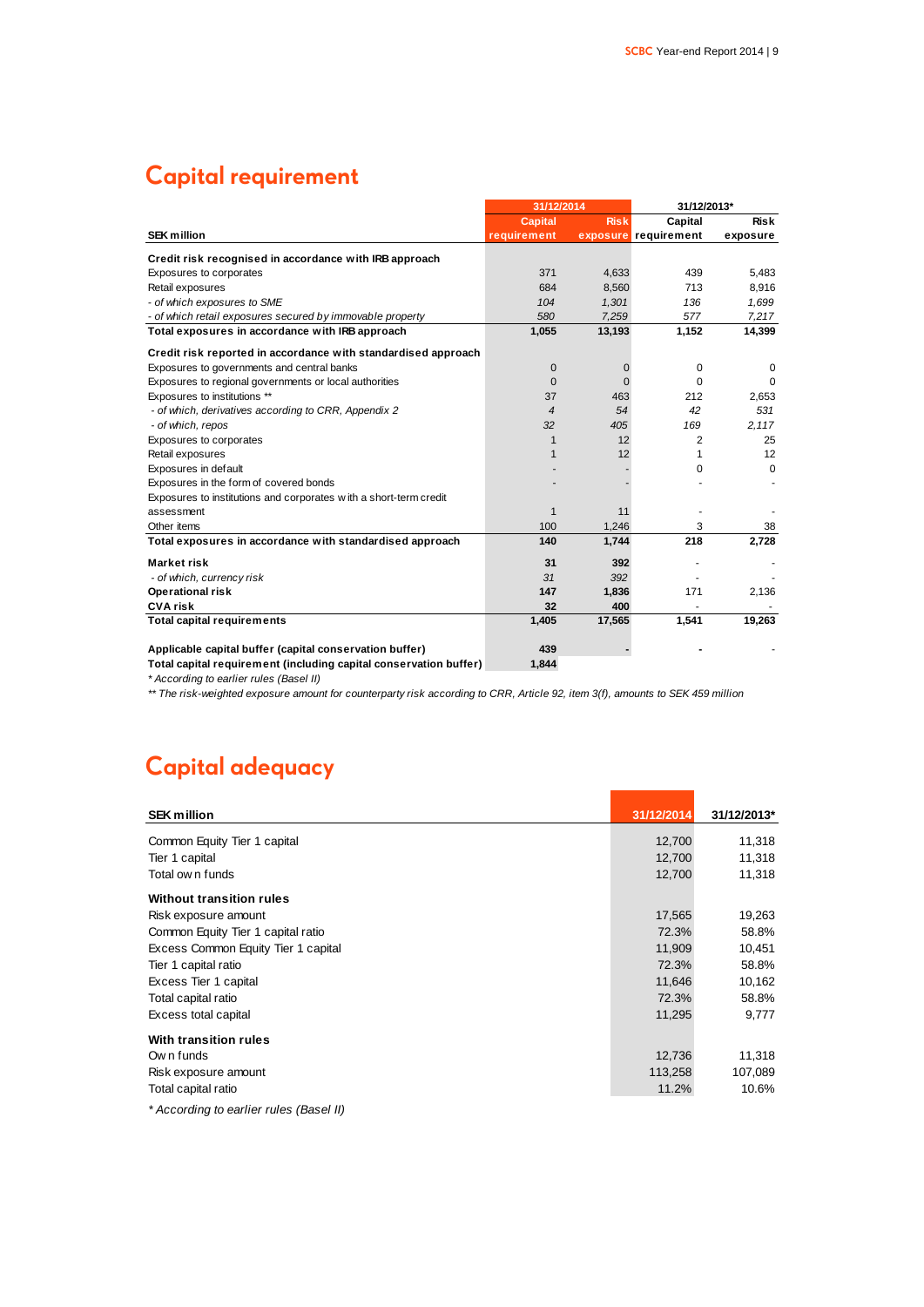# **Capital requirement**

|                                                                   | 31/12/2014     |             |                      | 31/12/2013* |  |
|-------------------------------------------------------------------|----------------|-------------|----------------------|-------------|--|
|                                                                   | <b>Capital</b> | <b>Risk</b> | Capital              | <b>Risk</b> |  |
| <b>SEK million</b>                                                | requirement    |             | exposure requirement | exposure    |  |
| Credit risk recognised in accordance with IRB approach            |                |             |                      |             |  |
| Exposures to corporates                                           | 371            | 4,633       | 439                  | 5,483       |  |
| Retail exposures                                                  | 684            | 8,560       | 713                  | 8,916       |  |
| - of which exposures to SME                                       | 104            | 1,301       | 136                  | 1,699       |  |
| - of which retail exposures secured by immovable property         | 580            | 7.259       | 577                  | 7,217       |  |
| Total exposures in accordance with IRB approach                   | 1,055          | 13,193      | 1,152                | 14,399      |  |
| Credit risk reported in accordance with standardised approach     |                |             |                      |             |  |
| Exposures to governments and central banks                        | 0              | 0           | 0                    | $\Omega$    |  |
| Exposures to regional governments or local authorities            | $\Omega$       | $\Omega$    | $\Omega$             | $\Omega$    |  |
| Exposures to institutions **                                      | 37             | 463         | 212                  | 2,653       |  |
| - of which, derivatives according to CRR, Appendix 2              | 4              | 54          | 42                   | 531         |  |
| - of which, repos                                                 | 32             | 405         | 169                  | 2,117       |  |
| Exposures to corporates                                           | 1              | 12          | 2                    | 25          |  |
| Retail exposures                                                  | 1              | 12          | 1                    | 12          |  |
| Exposures in default                                              |                |             | $\Omega$             | $\Omega$    |  |
| Exposures in the form of covered bonds                            |                |             |                      |             |  |
| Exposures to institutions and corporates with a short-term credit |                |             |                      |             |  |
| assessment                                                        | 1              | 11          |                      |             |  |
| Other items                                                       | 100            | 1.246       | 3                    | 38          |  |
| Total exposures in accordance with standardised approach          | 140            | 1,744       | 218                  | 2,728       |  |
| Market risk                                                       | 31             | 392         |                      |             |  |
| - of which, currency risk                                         | 31             | 392         |                      |             |  |
| Operational risk                                                  | 147            | 1,836       | 171                  | 2,136       |  |
| <b>CVA risk</b>                                                   | 32             | 400         |                      |             |  |
| <b>Total capital requirements</b>                                 | 1,405          | 17,565      | 1,541                | 19,263      |  |
| Applicable capital buffer (capital conservation buffer)           | 439            |             |                      |             |  |
| Total capital requirement (including capital conservation buffer) | 1.844          |             |                      |             |  |

*\* According to earlier rules (Basel II)*

*\*\* The risk-weighted exposure amount for counterparty risk according to CRR, Article 92, item 3(f), amounts to SEK 459 million*

# **Capital adequacy**

| <b>SEK million</b>                      | 31/12/2014 | 31/12/2013* |
|-----------------------------------------|------------|-------------|
| Common Equity Tier 1 capital            | 12,700     | 11,318      |
| Tier 1 capital                          | 12,700     | 11,318      |
| Total own funds                         | 12,700     | 11,318      |
| <b>Without transition rules</b>         |            |             |
| Risk exposure amount                    | 17,565     | 19,263      |
| Common Equity Tier 1 capital ratio      | 72.3%      | 58.8%       |
| Excess Common Equity Tier 1 capital     | 11,909     | 10,451      |
| Tier 1 capital ratio                    | 72.3%      | 58.8%       |
| Excess Tier 1 capital                   | 11,646     | 10,162      |
| Total capital ratio                     | 72.3%      | 58.8%       |
| Excess total capital                    | 11,295     | 9,777       |
| With transition rules                   |            |             |
| Own funds                               | 12,736     | 11,318      |
| Risk exposure amount                    | 113,258    | 107,089     |
| Total capital ratio                     | 11.2%      | 10.6%       |
| * According to earlier rules (Basel II) |            |             |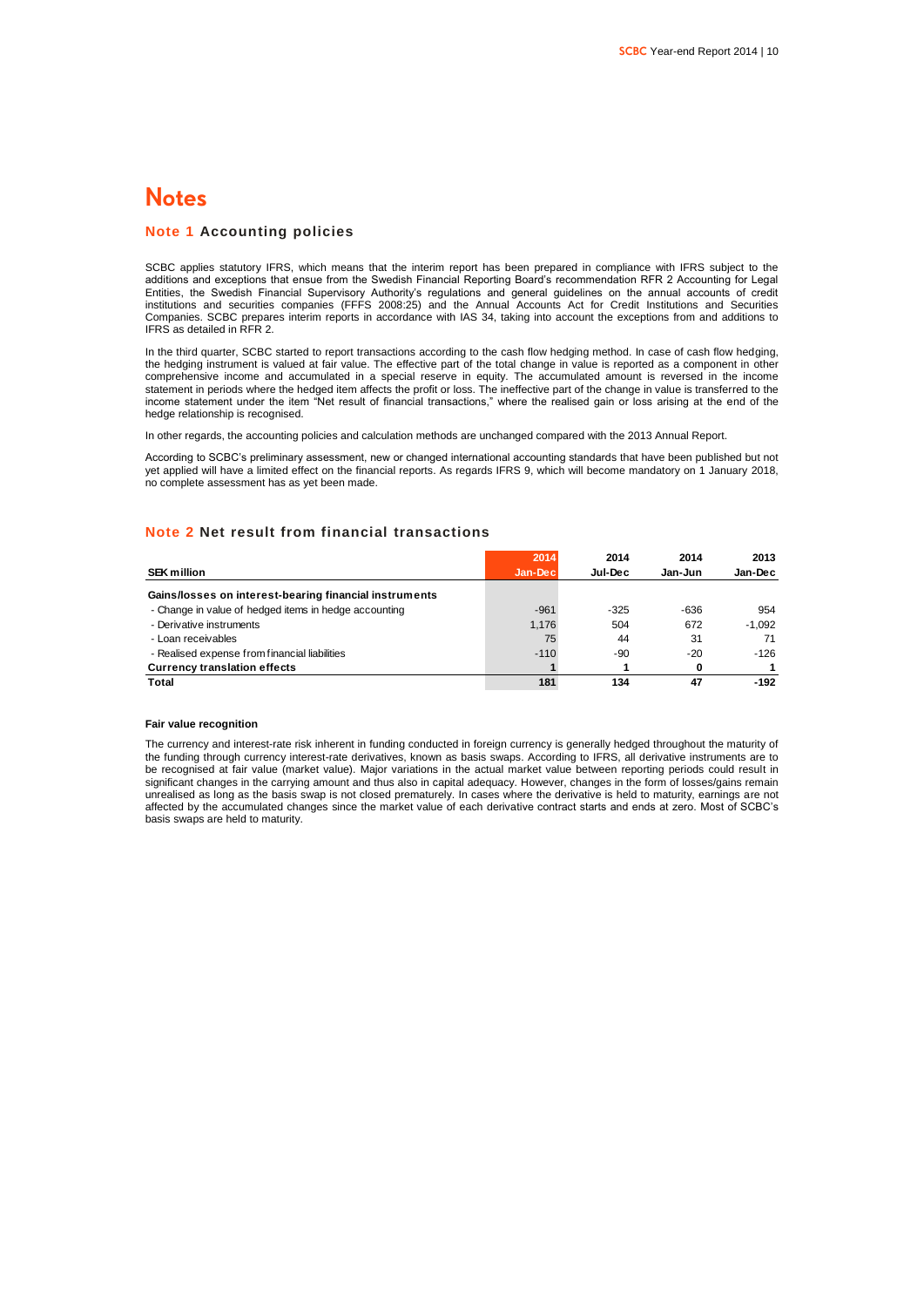### **Notes**

### **Note 1 Accounting policies**

SCBC applies statutory IFRS, which means that the interim report has been prepared in compliance with IFRS subject to the additions and exceptions that ensue from the Swedish Financial Reporting Board's recommendation RFR 2 Accounting for Legal Entities, the Swedish Financial Supervisory Authority's regulations and general guidelines on the annual accounts of credit institutions and securities companies (FFFS 2008:25) and the Annual Accounts Act for Credit Institutions and Securities Companies. SCBC prepares interim reports in accordance with IAS 34, taking into account the exceptions from and additions to IFRS as detailed in RFR 2.

In the third quarter, SCBC started to report transactions according to the cash flow hedging method. In case of cash flow hedging, the hedging instrument is valued at fair value. The effective part of the total change in value is reported as a component in other comprehensive income and accumulated in a special reserve in equity. The accumulated amount is reversed in the income statement in periods where the hedged item affects the profit or loss. The ineffective part of the change in value is transferred to the income statement under the item "Net result of financial transactions," where the realised gain or loss arising at the end of the hedge relationship is recognised.

In other regards, the accounting policies and calculation methods are unchanged compared with the 2013 Annual Report.

According to SCBC's preliminary assessment, new or changed international accounting standards that have been published but not yet applied will have a limited effect on the financial reports. As regards IFRS 9, which will become mandatory on 1 January 2018, no complete assessment has as yet been made.

### **Note 2 Net result from financial transactions**

|                                                        | 2014     | 2014    | 2014    | 2013     |
|--------------------------------------------------------|----------|---------|---------|----------|
| <b>SEK million</b>                                     | Jan-Decl | Jul-Dec | Jan-Jun | Jan-Dec  |
| Gains/losses on interest-bearing financial instruments |          |         |         |          |
| - Change in value of hedged items in hedge accounting  | $-961$   | $-325$  | -636    | 954      |
| - Derivative instruments                               | 1,176    | 504     | 672     | $-1.092$ |
| - Loan receivables                                     | 75       | 44      | 31      | 71       |
| - Realised expense from financial liabilities          | $-110$   | -90     | $-20$   | $-126$   |
| <b>Currency translation effects</b>                    |          |         | 0       |          |
| Total                                                  | 181      | 134     | 47      | $-192$   |

#### **Fair value recognition**

The currency and interest-rate risk inherent in funding conducted in foreign currency is generally hedged throughout the maturity of the funding through currency interest-rate derivatives, known as basis swaps. According to IFRS, all derivative instruments are to be recognised at fair value (market value). Major variations in the actual market value between reporting periods could result in significant changes in the carrying amount and thus also in capital adequacy. However, changes in the form of losses/gains remain unrealised as long as the basis swap is not closed prematurely. In cases where the derivative is held to maturity, earnings are not affected by the accumulated changes since the market value of each derivative contract starts and ends at zero. Most of SCBC's basis swaps are held to maturity.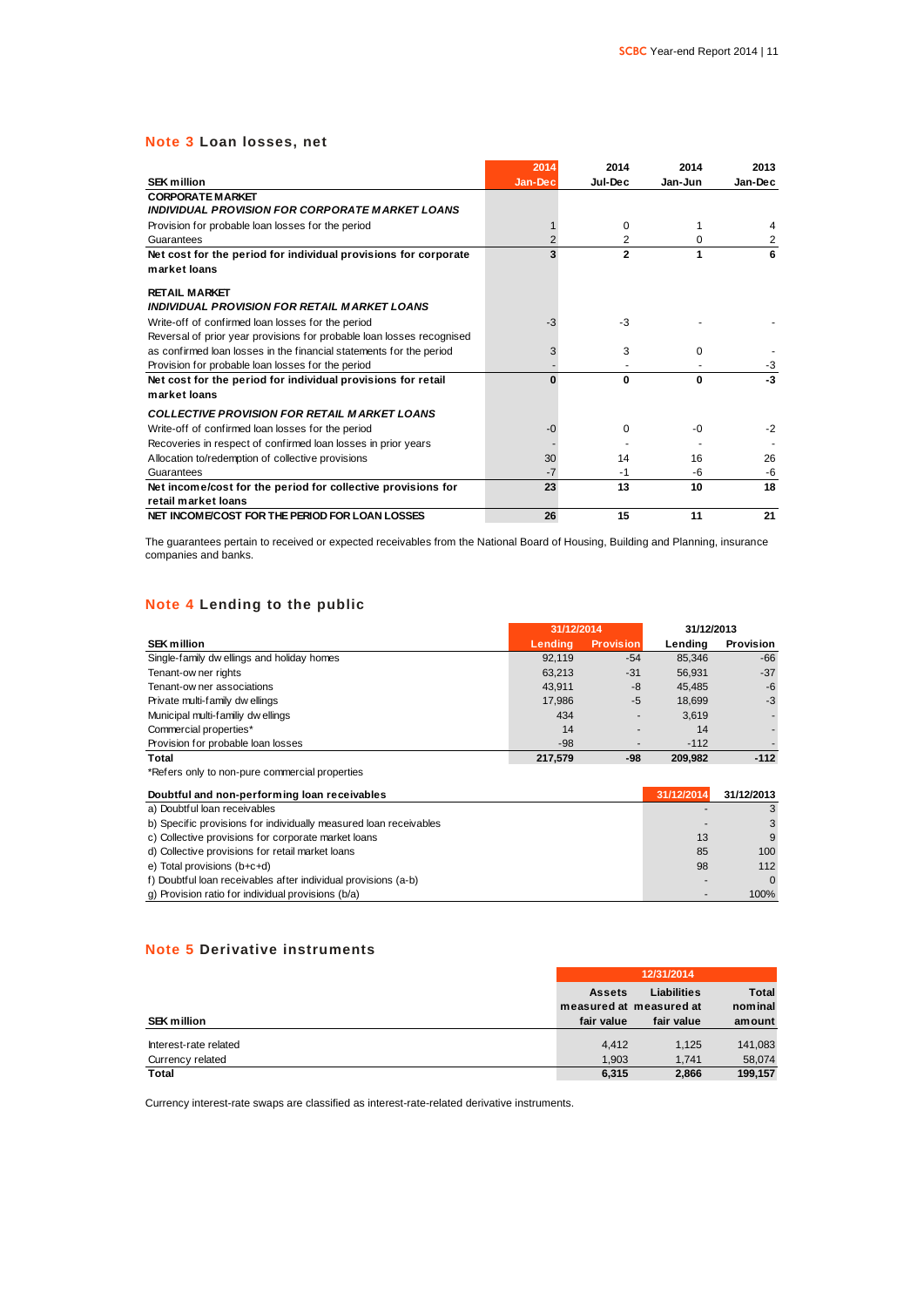### **Note 3 Loan losses, net**

|                                                                       | 2014    | 2014         | 2014     | 2013    |
|-----------------------------------------------------------------------|---------|--------------|----------|---------|
| <b>SEK million</b>                                                    | Jan-Dec | Jul-Dec      | Jan-Jun  | Jan-Dec |
| <b>CORPORATE MARKET</b>                                               |         |              |          |         |
| INDIVIDUAL PROVISION FOR CORPORATE MARKET LOANS                       |         |              |          |         |
| Provision for probable loan losses for the period                     |         | $\Omega$     |          |         |
| Guarantees                                                            |         | 2            | 0        | 2       |
| Net cost for the period for individual provisions for corporate       | 3       | $\mathbf{2}$ | 1        | 6       |
| market loans                                                          |         |              |          |         |
| <b>RETAIL MARKET</b>                                                  |         |              |          |         |
| INDIVIDUAL PROVISION FOR RETAIL MARKET LOANS                          |         |              |          |         |
| Write-off of confirmed loan losses for the period                     | $-3$    | $-3$         |          |         |
| Reversal of prior year provisions for probable loan losses recognised |         |              |          |         |
| as confirmed loan losses in the financial statements for the period   | 3       | 3            | 0        |         |
| Provision for probable loan losses for the period                     |         |              |          | $-3$    |
| Net cost for the period for individual provisions for retail          | O       | 0            | $\Omega$ | -3      |
| market loans                                                          |         |              |          |         |
| <b>COLLECTIVE PROVISION FOR RETAIL MARKET LOANS</b>                   |         |              |          |         |
| Write-off of confirmed loan losses for the period                     | -0      | 0            | -0       | $-2$    |
| Recoveries in respect of confirmed loan losses in prior years         |         |              |          |         |
| Allocation to/redemption of collective provisions                     | 30      | 14           | 16       | 26      |
| Guarantees                                                            | $-7$    | $-1$         | -6       | $-6$    |
| Net income/cost for the period for collective provisions for          | 23      | 13           | 10       | 18      |
| retail market loans                                                   |         |              |          |         |
| NET INCOME/COST FOR THE PERIOD FOR LOAN LOSSES                        | 26      | 15           | 11       | 21      |

The guarantees pertain to received or expected receivables from the National Board of Housing, Building and Planning, insurance companies and banks.

### **Note 4 Lending to the public**

| NOTE 4 Lenging to the public                   |            |                          |            |                  |
|------------------------------------------------|------------|--------------------------|------------|------------------|
|                                                | 31/12/2014 |                          | 31/12/2013 |                  |
| <b>SEK million</b>                             | Lendina    | <b>Provision</b>         | Lendina    | <b>Provision</b> |
| Single-family dw ellings and holiday homes     | 92.119     | $-54$                    | 85,346     | $-66$            |
| Tenant-ow ner rights                           | 63,213     | $-31$                    | 56.931     | $-37$            |
| Tenant-ow ner associations                     | 43.911     | -8                       | 45.485     | $-6$             |
| Private multi-family dwellings                 | 17,986     | $-5$                     | 18,699     | $-3$             |
| Municipal multi-familiy dw ellings             | 434        | ٠                        | 3,619      |                  |
| Commercial properties*                         | 14         | -                        | 14         |                  |
| Provision for probable loan losses             | $-98$      | $\overline{\phantom{a}}$ | $-112$     |                  |
| Total                                          | 217,579    | -98                      | 209,982    | $-112$           |
| *Refers only to non-pure commercial properties |            |                          |            |                  |

| Doubtful and non-performing loan receivables                      | 31/12/2014 | 31/12/2013 |
|-------------------------------------------------------------------|------------|------------|
| a) Doubtful loan receivables                                      |            |            |
| b) Specific provisions for individually measured loan receivables |            |            |
| c) Collective provisions for corporate market loans               | 13         | 9          |
| d) Collective provisions for retail market loans                  | 85         | 100        |
| e) Total provisions (b+c+d)                                       | 98         | 112        |
| f) Doubtful loan receivables after individual provisions (a-b)    |            | $\Omega$   |
| g) Provision ratio for individual provisions (b/a)                |            | 100%       |

### **Note 5 Derivative instruments**

|                       |               | 12/31/2014              |              |
|-----------------------|---------------|-------------------------|--------------|
|                       | <b>Assets</b> | <b>Liabilities</b>      | <b>Total</b> |
|                       |               | measured at measured at | nominal      |
| <b>SEK million</b>    | fair value    | fair value              | amount       |
| Interest-rate related | 4.412         | 1.125                   | 141,083      |
| Currency related      | 1.903         | 1.741                   | 58.074       |
| <b>Total</b>          | 6,315         | 2.866                   | 199.157      |

Currency interest-rate swaps are classified as interest-rate-related derivative instruments.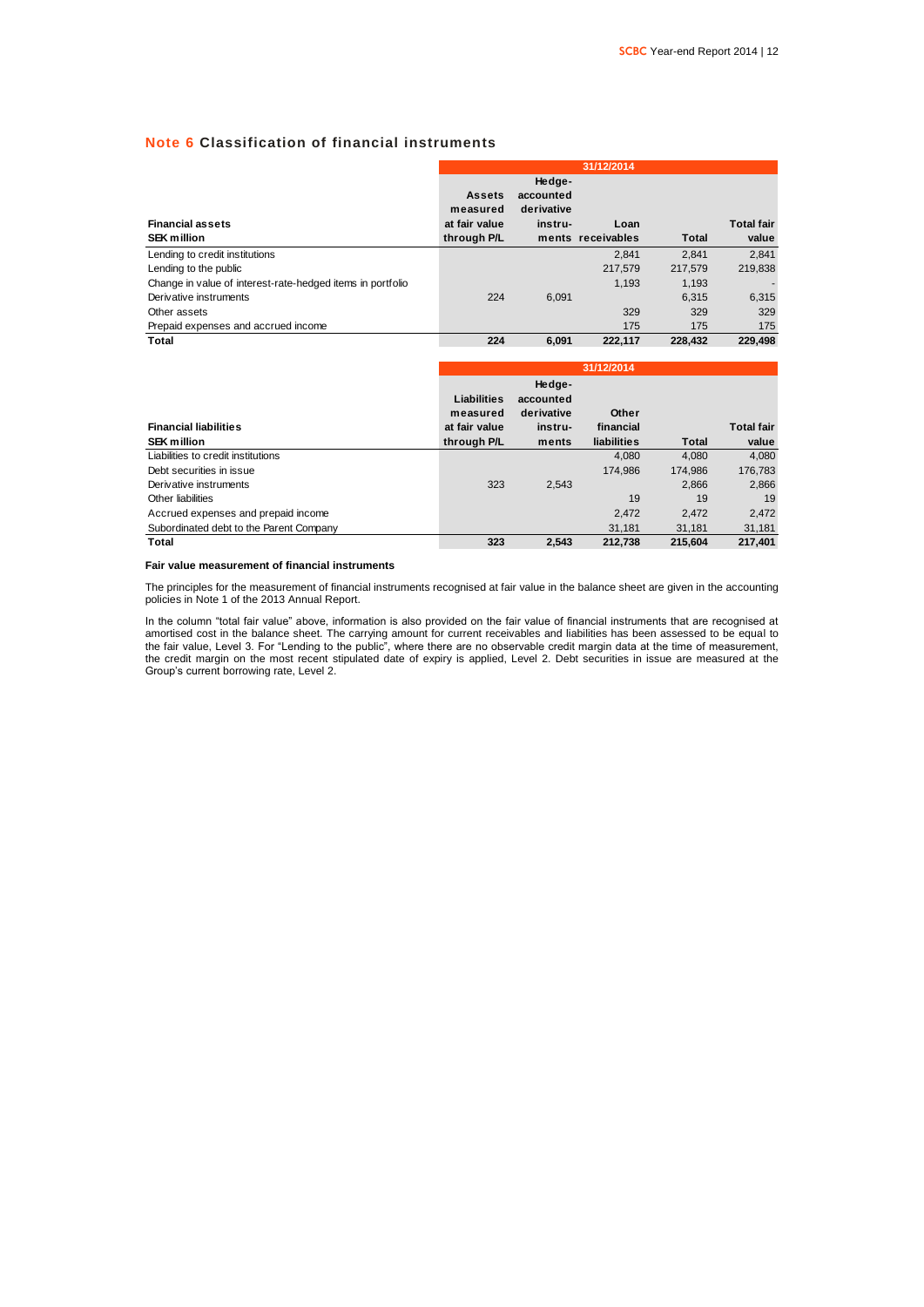### **Note 6 Classification of financial instruments**

|                                                            |                           |                                   | 31/12/2014        |         |                   |
|------------------------------------------------------------|---------------------------|-----------------------------------|-------------------|---------|-------------------|
|                                                            | <b>Assets</b><br>measured | Hedge-<br>accounted<br>derivative |                   |         |                   |
| <b>Financial assets</b>                                    | at fair value             | instru-                           | Loan              |         | <b>Total fair</b> |
| <b>SEK million</b>                                         | through P/L               |                                   | ments receivables | Total   | value             |
| Lending to credit institutions                             |                           |                                   | 2.841             | 2.841   | 2.841             |
| Lending to the public                                      |                           |                                   | 217.579           | 217.579 | 219.838           |
| Change in value of interest-rate-hedged items in portfolio |                           |                                   | 1.193             | 1,193   |                   |
| Derivative instruments                                     | 224                       | 6.091                             |                   | 6.315   | 6,315             |
| Other assets                                               |                           |                                   | 329               | 329     | 329               |
| Prepaid expenses and accrued income                        |                           |                                   | 175               | 175     | 175               |
| Total                                                      | 224                       | 6.091                             | 222.117           | 228.432 | 229.498           |

|                                         | 31/12/2014    |            |             |              |                   |
|-----------------------------------------|---------------|------------|-------------|--------------|-------------------|
|                                         |               | Hedge-     |             |              |                   |
|                                         | Liabilities   | accounted  |             |              |                   |
|                                         | measured      | derivative | Other       |              |                   |
| <b>Financial liabilities</b>            | at fair value | instru-    | financial   |              | <b>Total fair</b> |
| <b>SEK million</b>                      | through P/L   | ments      | liabilities | <b>Total</b> | value             |
| Liabilities to credit institutions      |               |            | 4.080       | 4,080        | 4,080             |
| Debt securities in issue                |               |            | 174.986     | 174.986      | 176,783           |
| Derivative instruments                  | 323           | 2.543      |             | 2.866        | 2,866             |
| Other liabilities                       |               |            | 19          | 19           | 19                |
| Accrued expenses and prepaid income     |               |            | 2.472       | 2.472        | 2,472             |
| Subordinated debt to the Parent Company |               |            | 31.181      | 31.181       | 31,181            |
| Total                                   | 323           | 2.543      | 212.738     | 215.604      | 217.401           |

#### **Fair value measurement of financial instruments**

The principles for the measurement of financial instruments recognised at fair value in the balance sheet are given in the accounting policies in Note 1 of the 2013 Annual Report.

In the column "total fair value" above, information is also provided on the fair value of financial instruments that are recognised at amortised cost in the balance sheet. The carrying amount for current receivables and liabilities has been assessed to be equal to the fair value, Level 3. For "Lending to the public", where there are no observable credit margin data at the time of measurement, the credit margin on the most recent stipulated date of expiry is applied, Level 2. Debt securities in issue are measured at the Group's current borrowing rate, Level 2.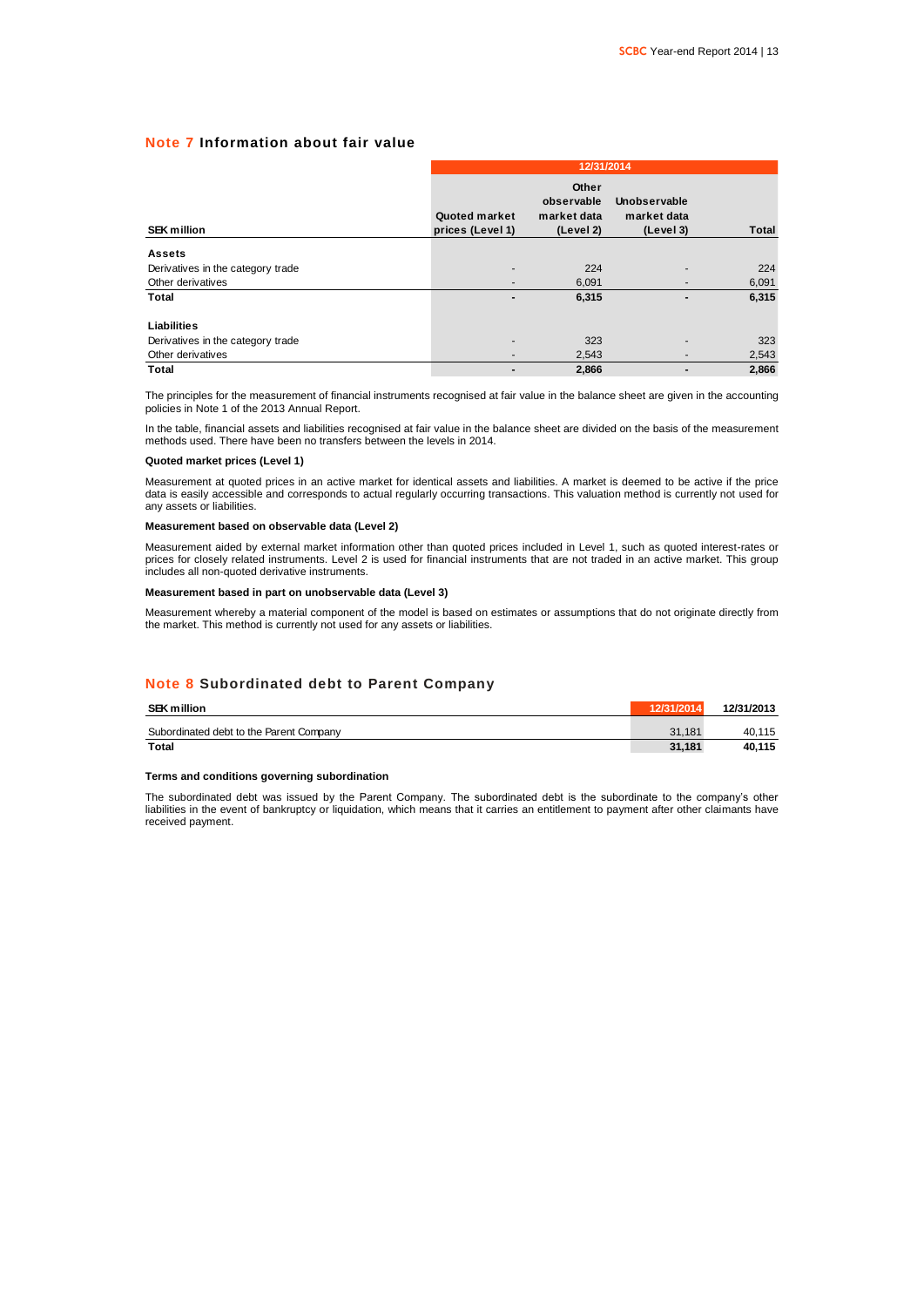### **Note 7 Information about fair value**

|                                   |                                   | 12/31/2014                                      |                                          |              |  |  |  |
|-----------------------------------|-----------------------------------|-------------------------------------------------|------------------------------------------|--------------|--|--|--|
| <b>SEK million</b>                | Quoted market<br>prices (Level 1) | Other<br>observable<br>market data<br>(Level 2) | Unobservable<br>market data<br>(Level 3) | <b>Total</b> |  |  |  |
| <b>Assets</b>                     |                                   |                                                 |                                          |              |  |  |  |
| Derivatives in the category trade | -                                 | 224                                             |                                          | 224          |  |  |  |
| Other derivatives                 |                                   | 6,091                                           |                                          | 6,091        |  |  |  |
| <b>Total</b>                      |                                   | 6,315                                           |                                          | 6,315        |  |  |  |
| Liabilities                       |                                   |                                                 |                                          |              |  |  |  |
| Derivatives in the category trade | ۰                                 | 323                                             |                                          | 323          |  |  |  |
| Other derivatives                 |                                   | 2,543                                           |                                          | 2,543        |  |  |  |
| <b>Total</b>                      |                                   | 2,866                                           |                                          | 2.866        |  |  |  |

The principles for the measurement of financial instruments recognised at fair value in the balance sheet are given in the accounting policies in Note 1 of the 2013 Annual Report.

In the table, financial assets and liabilities recognised at fair value in the balance sheet are divided on the basis of the measurement methods used. There have been no transfers between the levels in 2014.

#### **Quoted market prices (Level 1)**

Measurement at quoted prices in an active market for identical assets and liabilities. A market is deemed to be active if the price data is easily accessible and corresponds to actual regularly occurring transactions. This valuation method is currently not used for any assets or liabilities.

#### **Measurement based on observable data (Level 2)**

Measurement aided by external market information other than quoted prices included in Level 1, such as quoted interest-rates or prices for closely related instruments. Level 2 is used for financial instruments that are not traded in an active market. This group includes all non-quoted derivative instruments.

#### **Measurement based in part on unobservable data (Level 3)**

Measurement whereby a material component of the model is based on estimates or assumptions that do not originate directly from the market. This method is currently not used for any assets or liabilities.

### **Note 8 Subordinated debt to Parent Company**

| <b>SEK million</b>                      | 12/31/2014 | 12/31/2013 |
|-----------------------------------------|------------|------------|
| Subordinated debt to the Parent Company | 31.181     | 40.115     |
| Total                                   | 31.181     | 40.115     |

#### **Terms and conditions governing subordination**

The subordinated debt was issued by the Parent Company. The subordinated debt is the subordinate to the company's other liabilities in the event of bankruptcy or liquidation, which means that it carries an entitlement to payment after other claimants have received payment.